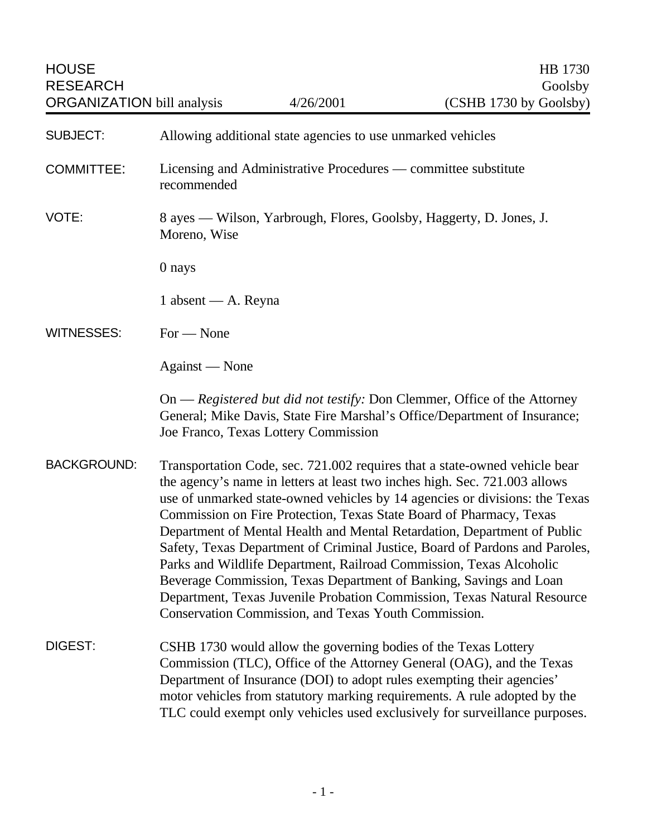| <b>SUBJECT:</b>    | Allowing additional state agencies to use unmarked vehicles                                                                                                                                                                                                                                                                                                                                                                                                                                                                                                                                                                                                                                                                                               |
|--------------------|-----------------------------------------------------------------------------------------------------------------------------------------------------------------------------------------------------------------------------------------------------------------------------------------------------------------------------------------------------------------------------------------------------------------------------------------------------------------------------------------------------------------------------------------------------------------------------------------------------------------------------------------------------------------------------------------------------------------------------------------------------------|
| <b>COMMITTEE:</b>  | Licensing and Administrative Procedures — committee substitute<br>recommended                                                                                                                                                                                                                                                                                                                                                                                                                                                                                                                                                                                                                                                                             |
| VOTE:              | 8 ayes — Wilson, Yarbrough, Flores, Goolsby, Haggerty, D. Jones, J.<br>Moreno, Wise                                                                                                                                                                                                                                                                                                                                                                                                                                                                                                                                                                                                                                                                       |
|                    | 0 nays                                                                                                                                                                                                                                                                                                                                                                                                                                                                                                                                                                                                                                                                                                                                                    |
|                    | 1 absent — A. Reyna                                                                                                                                                                                                                                                                                                                                                                                                                                                                                                                                                                                                                                                                                                                                       |
| <b>WITNESSES:</b>  | $For - None$                                                                                                                                                                                                                                                                                                                                                                                                                                                                                                                                                                                                                                                                                                                                              |
|                    | Against — None                                                                                                                                                                                                                                                                                                                                                                                                                                                                                                                                                                                                                                                                                                                                            |
|                    | On — Registered but did not testify: Don Clemmer, Office of the Attorney<br>General; Mike Davis, State Fire Marshal's Office/Department of Insurance;<br>Joe Franco, Texas Lottery Commission                                                                                                                                                                                                                                                                                                                                                                                                                                                                                                                                                             |
| <b>BACKGROUND:</b> | Transportation Code, sec. 721.002 requires that a state-owned vehicle bear<br>the agency's name in letters at least two inches high. Sec. 721.003 allows<br>use of unmarked state-owned vehicles by 14 agencies or divisions: the Texas<br>Commission on Fire Protection, Texas State Board of Pharmacy, Texas<br>Department of Mental Health and Mental Retardation, Department of Public<br>Safety, Texas Department of Criminal Justice, Board of Pardons and Paroles,<br>Parks and Wildlife Department, Railroad Commission, Texas Alcoholic<br>Beverage Commission, Texas Department of Banking, Savings and Loan<br>Department, Texas Juvenile Probation Commission, Texas Natural Resource<br>Conservation Commission, and Texas Youth Commission. |
| <b>DIGEST:</b>     | CSHB 1730 would allow the governing bodies of the Texas Lottery<br>Commission (TLC), Office of the Attorney General (OAG), and the Texas<br>Department of Insurance (DOI) to adopt rules exempting their agencies'<br>motor vehicles from statutory marking requirements. A rule adopted by the<br>TLC could exempt only vehicles used exclusively for surveillance purposes.                                                                                                                                                                                                                                                                                                                                                                             |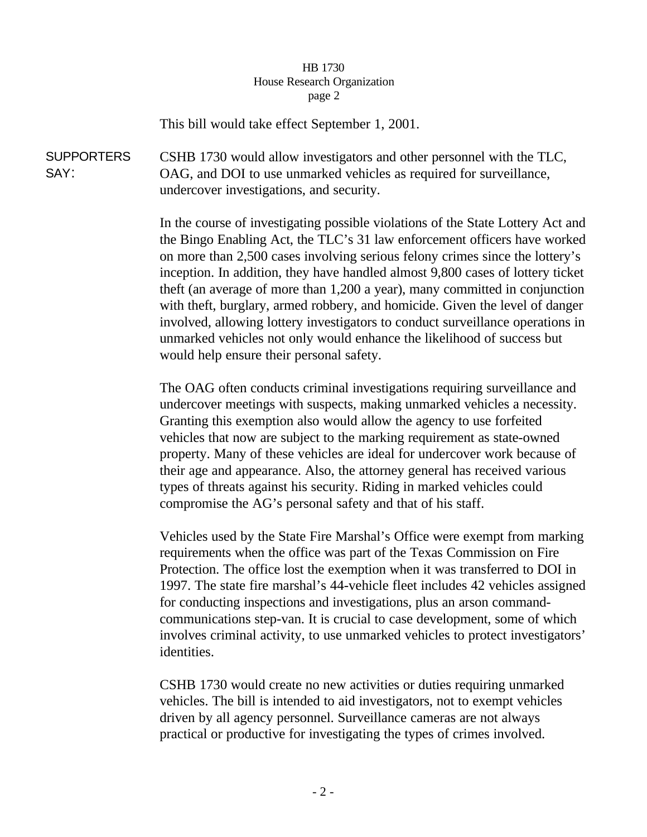## HB 1730 House Research Organization page 2

This bill would take effect September 1, 2001.

**SUPPORTERS** SAY: CSHB 1730 would allow investigators and other personnel with the TLC, OAG, and DOI to use unmarked vehicles as required for surveillance, undercover investigations, and security.

> In the course of investigating possible violations of the State Lottery Act and the Bingo Enabling Act, the TLC's 31 law enforcement officers have worked on more than 2,500 cases involving serious felony crimes since the lottery's inception. In addition, they have handled almost 9,800 cases of lottery ticket theft (an average of more than 1,200 a year), many committed in conjunction with theft, burglary, armed robbery, and homicide. Given the level of danger involved, allowing lottery investigators to conduct surveillance operations in unmarked vehicles not only would enhance the likelihood of success but would help ensure their personal safety.

The OAG often conducts criminal investigations requiring surveillance and undercover meetings with suspects, making unmarked vehicles a necessity. Granting this exemption also would allow the agency to use forfeited vehicles that now are subject to the marking requirement as state-owned property. Many of these vehicles are ideal for undercover work because of their age and appearance. Also, the attorney general has received various types of threats against his security. Riding in marked vehicles could compromise the AG's personal safety and that of his staff.

Vehicles used by the State Fire Marshal's Office were exempt from marking requirements when the office was part of the Texas Commission on Fire Protection. The office lost the exemption when it was transferred to DOI in 1997. The state fire marshal's 44-vehicle fleet includes 42 vehicles assigned for conducting inspections and investigations, plus an arson commandcommunications step-van. It is crucial to case development, some of which involves criminal activity, to use unmarked vehicles to protect investigators' identities.

CSHB 1730 would create no new activities or duties requiring unmarked vehicles. The bill is intended to aid investigators, not to exempt vehicles driven by all agency personnel. Surveillance cameras are not always practical or productive for investigating the types of crimes involved.